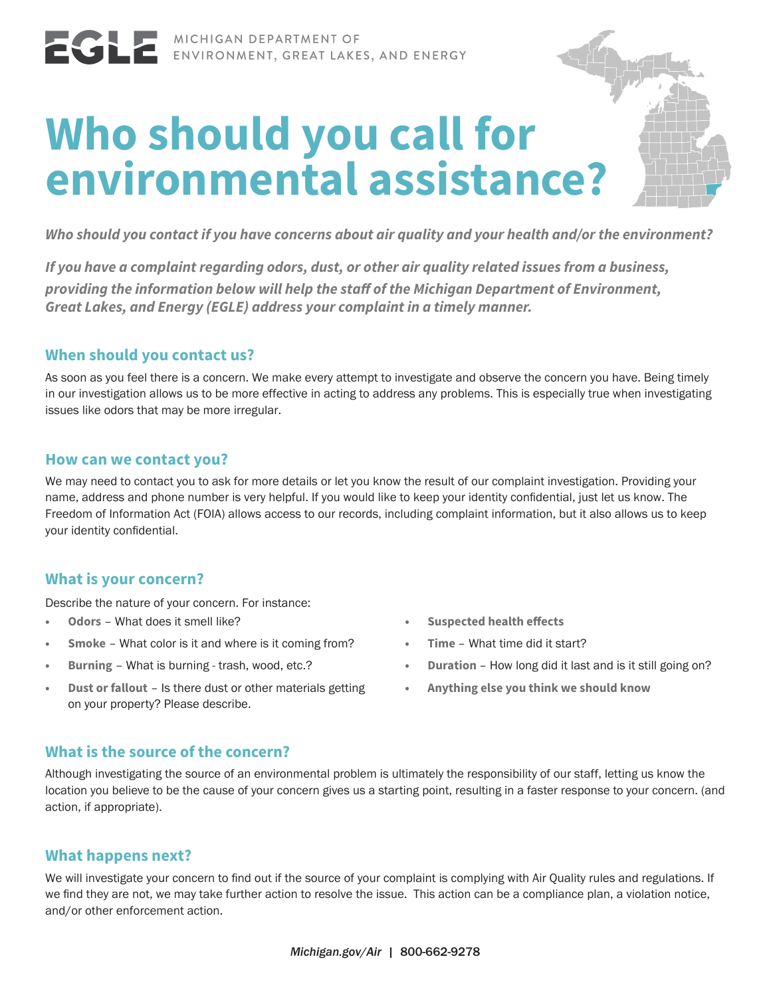## EN MICHIGAN DEPARTMENT OF ENVIRONMENT, GREAT LAKES, AND ENERGY

# **Who should you call for environmental assistance?**

**Who should you contact if you have concerns about air quality and your health and/or the environment?** 

**If you have a complaint regarding odors, dust, or other air quality related issues from a business, providing the information below will help the staff of the Michigan Department of Environment, Great Lakes, and Energy (EGLE) address your complaint in a timely manner.** 

#### **When should you contact us?**

As soon as you feel there is a concern. We make every attempt to investigate and observe the concern you have. Being timely in our investigation allows us to be more effective in acting to address any problems. This is especially true when investigating issues like odors that may be more irregular.

#### **How can we contact you?**

We may need to contact you to ask for more details or let you know the result of our complaint investigation. Providing your name, address and phone number is very helpful. If you would like to keep your identity confidential, just let us know. The Freedom of Information Act (FOIA) allows access to our records, including complaint information, but it also allows us to keep your identity confidential.

#### **What is your concern?**

Describe the nature of your concern. For instance:

- **• Odors** What does it smell like?  **Suspected health e!ects**
- **• Smoke** What color is it and where is it coming from?  **Time**  What time did it start?
- 
- **• Dust or fallout** Is there dust or other materials getting  **Anything else you think we should know** on your property? Please describe.
- 
- 
- **• Burning** What is burning trash, wood, etc.?  **Duration**  How long did it last and is it still going on?
	-

#### **What is the source of the concern?**

Although investigating the source of an environmental problem is ultimately the responsibility of our staff, letting us know the location you believe to be the cause of your concern gives us a starting point, resulting in a faster response to your concern. (and action, if appropriate).

#### **What happens next?**

We will investigate your concern to find out if the source of your complaint is complying with Air Quality rules and regulations. If we find they are not, we may take further action to resolve the issue. This action can be a compliance plan, a violation notice, and/or other enforcement action.